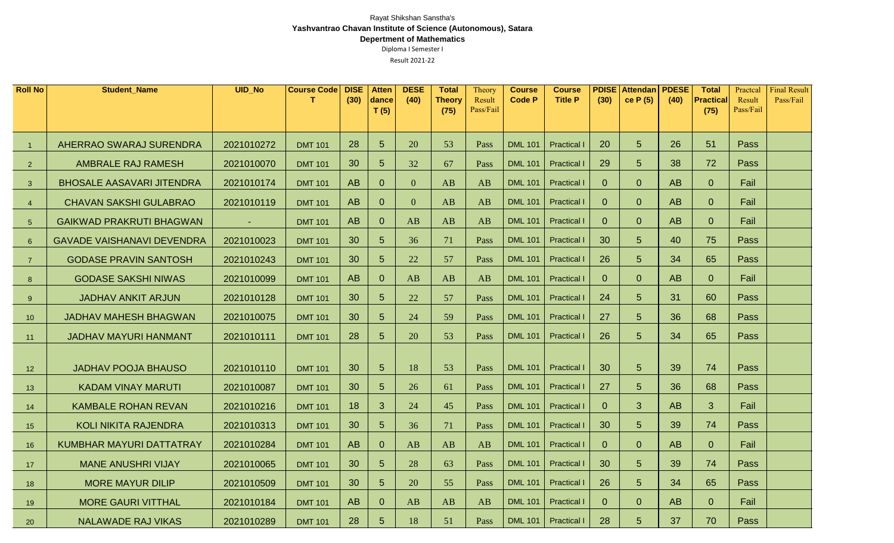| <b>Roll No</b>  | <b>Student_Name</b>               | <b>UID_No</b> | <b>Course Code</b> | <b>DISE</b><br>(30) | <b>Atten</b><br>dance | <b>DESE</b><br>(40) | <b>Total</b><br><b>Theory</b> | Theory<br>Result | <b>Course</b><br><b>Code P</b> | <b>Course</b><br><b>Title P</b> | (30)           | <b>PDISE</b> Attendan<br>ce $P(5)$ | <b>PDESE</b><br>(40) | <b>Total</b><br><b>Practical</b> | Practcal<br>Result | <b>Final Result</b><br>Pass/Fail |
|-----------------|-----------------------------------|---------------|--------------------|---------------------|-----------------------|---------------------|-------------------------------|------------------|--------------------------------|---------------------------------|----------------|------------------------------------|----------------------|----------------------------------|--------------------|----------------------------------|
|                 |                                   |               |                    |                     | T(5)                  |                     | (75)                          | Pass/Fail        |                                |                                 |                |                                    |                      | (75)                             | Pass/Fail          |                                  |
|                 |                                   |               |                    |                     |                       |                     |                               |                  |                                |                                 |                |                                    |                      |                                  |                    |                                  |
|                 | <b>AHERRAO SWARAJ SURENDRA</b>    | 2021010272    | <b>DMT 101</b>     | 28                  | $5\phantom{1}$        | 20                  | 53                            | Pass             | <b>DML 101</b>                 | <b>Practical I</b>              | 20             | $5\overline{)}$                    | 26                   | 51                               | <b>Pass</b>        |                                  |
| 2               | <b>AMBRALE RAJ RAMESH</b>         | 2021010070    | <b>DMT 101</b>     | 30                  | $5\phantom{1}$        | 32                  | 67                            | Pass             | <b>DML 101</b>                 | <b>Practical I</b>              | 29             | $5\overline{)}$                    | 38                   | 72                               | <b>Pass</b>        |                                  |
| 3               | <b>BHOSALE AASAVARI JITENDRA</b>  | 2021010174    | <b>DMT 101</b>     | <b>AB</b>           | $\overline{0}$        | $\overline{0}$      | AB                            | AB               | <b>DML 101</b>                 | <b>Practical I</b>              | $\overline{0}$ | $\overline{0}$                     | AB                   | $\overline{0}$                   | Fail               |                                  |
| $\overline{4}$  | <b>CHAVAN SAKSHI GULABRAO</b>     | 2021010119    | <b>DMT 101</b>     | AB                  | $\overline{0}$        | $\overline{0}$      | AB                            | AB               | <b>DML 101</b>                 | <b>Practical I</b>              | $\overline{0}$ | $\overline{0}$                     | AB                   | $\overline{0}$                   | Fail               |                                  |
| $5\phantom{.0}$ | <b>GAIKWAD PRAKRUTI BHAGWAN</b>   | $\sim$        | <b>DMT 101</b>     | AB                  | $\overline{0}$        | AB                  | AB                            | AB               | <b>DML 101</b>                 | <b>Practical I</b>              | $\overline{0}$ | $\overline{0}$                     | AB                   | $\overline{0}$                   | Fail               |                                  |
| $6\phantom{1}$  | <b>GAVADE VAISHANAVI DEVENDRA</b> | 2021010023    | <b>DMT 101</b>     | 30                  | $5\phantom{1}$        | 36                  | 71                            | Pass             | <b>DML 101</b>                 | <b>Practical I</b>              | 30             | $5\overline{)}$                    | 40                   | 75                               | <b>Pass</b>        |                                  |
| $\overline{7}$  | <b>GODASE PRAVIN SANTOSH</b>      | 2021010243    | <b>DMT 101</b>     | 30                  | $5\phantom{1}$        | 22                  | 57                            | Pass             | <b>DML 101</b>                 | <b>Practical I</b>              | 26             | $5\overline{)}$                    | 34                   | 65                               | Pass               |                                  |
| 8               | <b>GODASE SAKSHI NIWAS</b>        | 2021010099    | <b>DMT 101</b>     | <b>AB</b>           | $\overline{0}$        | AB                  | AB                            | AB               | <b>DML 101</b>                 | <b>Practical I</b>              | $\overline{0}$ | $\overline{0}$                     | AB                   | $\overline{0}$                   | Fail               |                                  |
| 9               | <b>JADHAV ANKIT ARJUN</b>         | 2021010128    | <b>DMT 101</b>     | 30                  | $5\phantom{1}$        | 22                  | 57                            | Pass             | <b>DML 101</b>                 | <b>Practical</b>                | 24             | $5\overline{)}$                    | 31                   | 60                               | <b>Pass</b>        |                                  |
| 10              | <b>JADHAV MAHESH BHAGWAN</b>      | 2021010075    | <b>DMT 101</b>     | 30                  | $5\phantom{1}$        | 24                  | 59                            | Pass             | <b>DML 101</b>                 | <b>Practical I</b>              | 27             | 5 <sup>5</sup>                     | 36                   | 68                               | <b>Pass</b>        |                                  |
| 11              | <b>JADHAV MAYURI HANMANT</b>      | 2021010111    | <b>DMT 101</b>     | 28                  | $5\overline{)}$       | 20                  | 53                            | Pass             | <b>DML 101</b>                 | <b>Practical I</b>              | 26             | 5 <sup>5</sup>                     | 34                   | 65                               | <b>Pass</b>        |                                  |
|                 |                                   |               |                    |                     |                       |                     |                               |                  |                                |                                 |                |                                    |                      |                                  |                    |                                  |
| 12 <sub>2</sub> | <b>JADHAV POOJA BHAUSO</b>        | 2021010110    | <b>DMT 101</b>     | 30                  | $5\overline{)}$       | 18                  | 53                            | Pass             | <b>DML 101</b>                 | <b>Practical I</b>              | 30             | $5\overline{)}$                    | 39                   | 74                               | Pass               |                                  |
| 13              | <b>KADAM VINAY MARUTI</b>         | 2021010087    | <b>DMT 101</b>     | 30                  | 5                     | 26                  | 61                            | Pass             | <b>DML 101</b>                 | <b>Practical I</b>              | 27             | 5                                  | 36                   | 68                               | <b>Pass</b>        |                                  |
| 14              | <b>KAMBALE ROHAN REVAN</b>        | 2021010216    | <b>DMT 101</b>     | 18                  | $\mathbf{3}$          | 24                  | 45                            | Pass             | <b>DML 101</b>                 | <b>Practical I</b>              | $\overline{0}$ | 3 <sup>5</sup>                     | <b>AB</b>            | 3 <sup>5</sup>                   | Fail               |                                  |
| 15              | <b>KOLI NIKITA RAJENDRA</b>       | 2021010313    | <b>DMT 101</b>     | 30                  | $5\overline{)}$       | 36                  | 71                            | Pass             | <b>DML 101</b>                 | <b>Practical I</b>              | 30             | $5\overline{)}$                    | 39                   | 74                               | <b>Pass</b>        |                                  |
| 16              | KUMBHAR MAYURI DATTATRAY          | 2021010284    | <b>DMT 101</b>     | AB                  | $\overline{0}$        | AB                  | AB                            | AB               | <b>DML 101</b>                 | <b>Practical I</b>              | $\overline{0}$ | $\overline{0}$                     | AB                   | $\overline{0}$                   | Fail               |                                  |
| 17              | <b>MANE ANUSHRI VIJAY</b>         | 2021010065    | <b>DMT 101</b>     | 30                  | $5\phantom{1}$        | 28                  | 63                            | Pass             | <b>DML 101</b>                 | <b>Practical I</b>              | 30             | $5\overline{)}$                    | 39                   | 74                               | Pass               |                                  |
| 18              | <b>MORE MAYUR DILIP</b>           | 2021010509    | <b>DMT 101</b>     | 30                  | $5\phantom{1}$        | 20                  | 55                            | Pass             | <b>DML 101</b>                 | <b>Practical I</b>              | 26             | $5\overline{)}$                    | 34                   | 65                               | Pass               |                                  |
| 19              | <b>MORE GAURI VITTHAL</b>         | 2021010184    | <b>DMT 101</b>     | <b>AB</b>           | $\overline{0}$        | AB                  | AB                            | AB               | <b>DML 101</b>                 | <b>Practical I</b>              | $\overline{0}$ | $\overline{0}$                     | <b>AB</b>            | $\overline{0}$                   | Fail               |                                  |
| 20              | <b>NALAWADE RAJ VIKAS</b>         | 2021010289    | <b>DMT 101</b>     | 28                  | 5                     | 18                  | 51                            | Pass             | <b>DML 101</b>                 | <b>Practical I</b>              | 28             | $5\overline{)}$                    | 37                   | 70                               | Pass               |                                  |

## Rayat Shikshan Sanstha's **Yashvantrao Chavan Institute of Science (Autonomous), Satara Depertment of Mathematics**

Diploma I Semester I

Result 2021-22